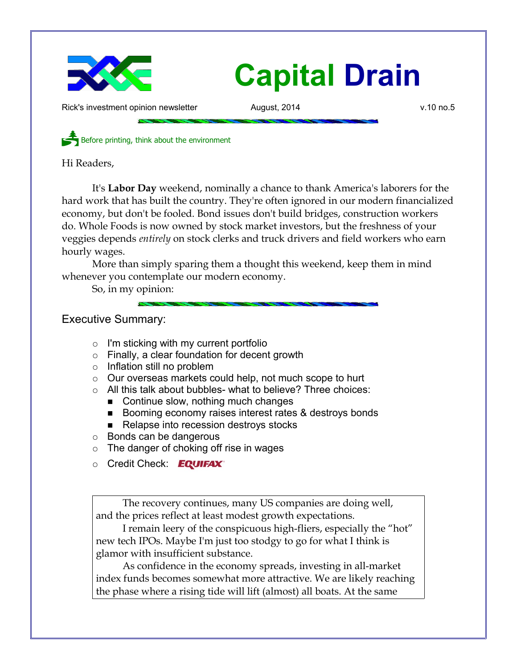

Rick's investment opinion newsletter and August, 2014 and the v.10 no.5

Before printing, think about the environment

Hi Readers,

It's **Labor Day** weekend, nominally a chance to thank America's laborers for the hard work that has built the country. They're often ignored in our modern financialized economy, but don't be fooled. Bond issues don't build bridges, construction workers do. Whole Foods is now owned by stock market investors, but the freshness of your veggies depends *entirely* on stock clerks and truck drivers and field workers who earn hourly wages.

More than simply sparing them a thought this weekend, keep them in mind whenever you contemplate our modern economy.

So, in my opinion:

# Executive Summary:

- $\circ$  I'm sticking with my current portfolio
- Finally, a clear foundation for decent growth
- Inflation still no problem
- Our overseas markets could help, not much scope to hurt
- All this talk about bubbles- what to believe? Three choices:
	- Continue slow, nothing much changes
	- Booming economy raises interest rates & destroys bonds
	- Relapse into recession destroys stocks
- Bonds can be dangerous
- $\circ$  The danger of choking off rise in wages
- **Credit Check:** EQUIFAX®

The recovery continues, many US companies are doing well, and the prices reflect at least modest growth expectations.

I remain leery of the conspicuous high-fliers, especially the "hot" new tech IPOs. Maybe I'm just too stodgy to go for what I think is glamor with insufficient substance.

As confidence in the economy spreads, investing in all-market index funds becomes somewhat more attractive. We are likely reaching the phase where a rising tide will lift (almost) all boats. At the same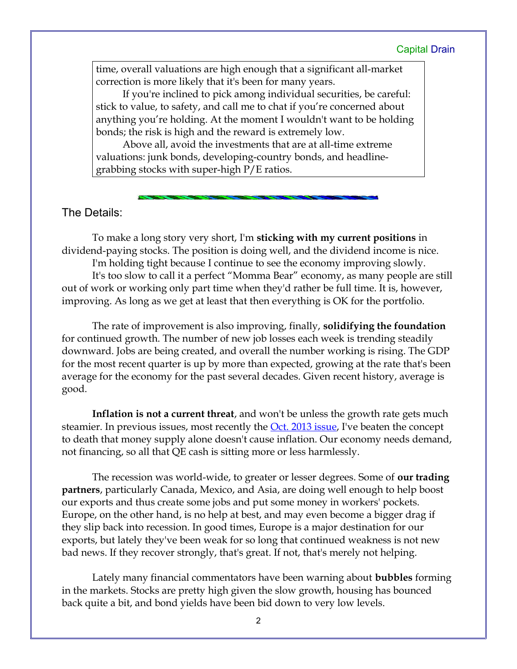time, overall valuations are high enough that a significant all-market correction is more likely that it's been for many years.

If you're inclined to pick among individual securities, be careful: stick to value, to safety, and call me to chat if you're concerned about anything you're holding. At the moment I wouldn't want to be holding bonds; the risk is high and the reward is extremely low.

Above all, avoid the investments that are at all-time extreme valuations: junk bonds, developing-country bonds, and headlinegrabbing stocks with super-high P/E ratios.

### The Details:

To make a long story very short, I'm **sticking with my current positions** in dividend-paying stocks. The position is doing well, and the dividend income is nice.

I'm holding tight because I continue to see the economy improving slowly. It's too slow to call it a perfect "Momma Bear" economy, as many people are still out of work or working only part time when they'd rather be full time. It is, however, improving. As long as we get at least that then everything is OK for the portfolio.

The rate of improvement is also improving, finally, **solidifying the foundation** for continued growth. The number of new job losses each week is trending steadily downward. Jobs are being created, and overall the number working is rising. The GDP for the most recent quarter is up by more than expected, growing at the rate that's been average for the economy for the past several decades. Given recent history, average is good.

**Inflation is not a current threat**, and won't be unless the growth rate gets much steamier. In previous issues, most recently the **Oct. 2013 issue**, I've beaten the concept to death that money supply alone doesn't cause inflation. Our economy needs demand, not financing, so all that QE cash is sitting more or less harmlessly.

The recession was world-wide, to greater or lesser degrees. Some of **our trading partners**, particularly Canada, Mexico, and Asia, are doing well enough to help boost our exports and thus create some jobs and put some money in workers' pockets. Europe, on the other hand, is no help at best, and may even become a bigger drag if they slip back into recession. In good times, Europe is a major destination for our exports, but lately they've been weak for so long that continued weakness is not new bad news. If they recover strongly, that's great. If not, that's merely not helping.

Lately many financial commentators have been warning about **bubbles** forming in the markets. Stocks are pretty high given the slow growth, housing has bounced back quite a bit, and bond yields have been bid down to very low levels.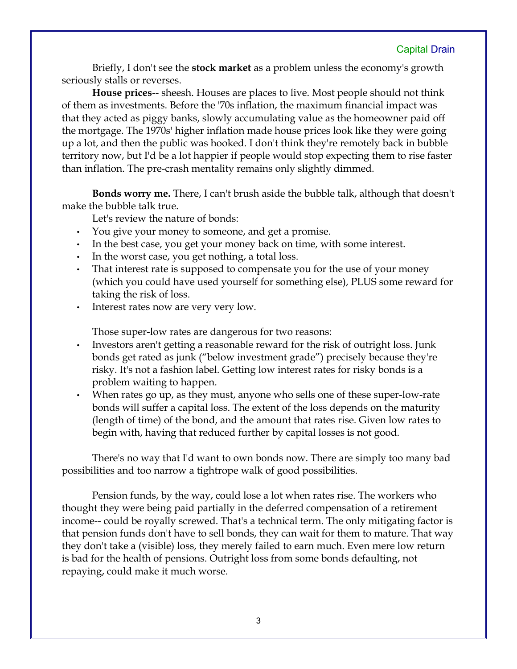Briefly, I don't see the **stock market** as a problem unless the economy's growth seriously stalls or reverses.

**House prices**-- sheesh. Houses are places to live. Most people should not think of them as investments. Before the '70s inflation, the maximum financial impact was that they acted as piggy banks, slowly accumulating value as the homeowner paid off the mortgage. The 1970s' higher inflation made house prices look like they were going up a lot, and then the public was hooked. I don't think they're remotely back in bubble territory now, but I'd be a lot happier if people would stop expecting them to rise faster than inflation. The pre-crash mentality remains only slightly dimmed.

**Bonds worry me.** There, I can't brush aside the bubble talk, although that doesn't make the bubble talk true.

Let's review the nature of bonds:

- You give your money to someone, and get a promise.
- In the best case, you get your money back on time, with some interest.
- In the worst case, you get nothing, a total loss.
- That interest rate is supposed to compensate you for the use of your money (which you could have used yourself for something else), PLUS some reward for taking the risk of loss.
- Interest rates now are very very low.

Those super-low rates are dangerous for two reasons:

- Investors aren't getting a reasonable reward for the risk of outright loss. Junk bonds get rated as junk ("below investment grade") precisely because they're risky. It's not a fashion label. Getting low interest rates for risky bonds is a problem waiting to happen.
- When rates go up, as they must, anyone who sells one of these super-low-rate bonds will suffer a capital loss. The extent of the loss depends on the maturity (length of time) of the bond, and the amount that rates rise. Given low rates to begin with, having that reduced further by capital losses is not good.

There's no way that I'd want to own bonds now. There are simply too many bad possibilities and too narrow a tightrope walk of good possibilities.

Pension funds, by the way, could lose a lot when rates rise. The workers who thought they were being paid partially in the deferred compensation of a retirement income-- could be royally screwed. That's a technical term. The only mitigating factor is that pension funds don't have to sell bonds, they can wait for them to mature. That way they don't take a (visible) loss, they merely failed to earn much. Even mere low return is bad for the health of pensions. Outright loss from some bonds defaulting, not repaying, could make it much worse.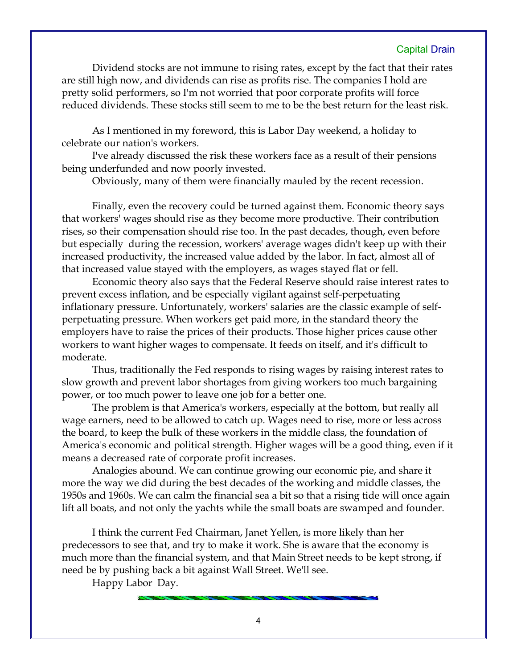Dividend stocks are not immune to rising rates, except by the fact that their rates are still high now, and dividends can rise as profits rise. The companies I hold are pretty solid performers, so I'm not worried that poor corporate profits will force reduced dividends. These stocks still seem to me to be the best return for the least risk.

As I mentioned in my foreword, this is Labor Day weekend, a holiday to celebrate our nation's workers.

I've already discussed the risk these workers face as a result of their pensions being underfunded and now poorly invested.

Obviously, many of them were financially mauled by the recent recession.

Finally, even the recovery could be turned against them. Economic theory says that workers' wages should rise as they become more productive. Their contribution rises, so their compensation should rise too. In the past decades, though, even before but especially during the recession, workers' average wages didn't keep up with their increased productivity, the increased value added by the labor. In fact, almost all of that increased value stayed with the employers, as wages stayed flat or fell.

Economic theory also says that the Federal Reserve should raise interest rates to prevent excess inflation, and be especially vigilant against self-perpetuating inflationary pressure. Unfortunately, workers' salaries are the classic example of selfperpetuating pressure. When workers get paid more, in the standard theory the employers have to raise the prices of their products. Those higher prices cause other workers to want higher wages to compensate. It feeds on itself, and it's difficult to moderate.

Thus, traditionally the Fed responds to rising wages by raising interest rates to slow growth and prevent labor shortages from giving workers too much bargaining power, or too much power to leave one job for a better one.

The problem is that America's workers, especially at the bottom, but really all wage earners, need to be allowed to catch up. Wages need to rise, more or less across the board, to keep the bulk of these workers in the middle class, the foundation of America's economic and political strength. Higher wages will be a good thing, even if it means a decreased rate of corporate profit increases.

Analogies abound. We can continue growing our economic pie, and share it more the way we did during the best decades of the working and middle classes, the 1950s and 1960s. We can calm the financial sea a bit so that a rising tide will once again lift all boats, and not only the yachts while the small boats are swamped and founder.

I think the current Fed Chairman, Janet Yellen, is more likely than her predecessors to see that, and try to make it work. She is aware that the economy is much more than the financial system, and that Main Street needs to be kept strong, if need be by pushing back a bit against Wall Street. We'll see.

Happy Labor Day.